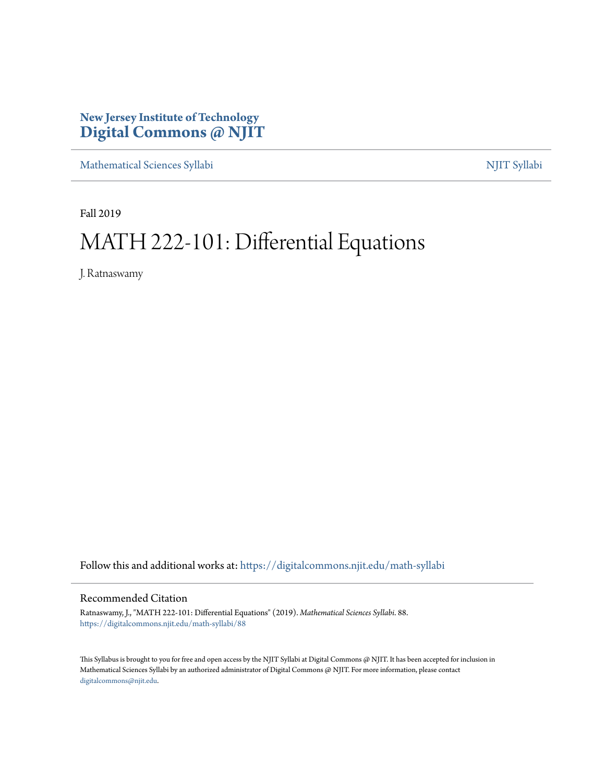# **New Jersey Institute of Technology [Digital Commons @ NJIT](https://digitalcommons.njit.edu/?utm_source=digitalcommons.njit.edu%2Fmath-syllabi%2F88&utm_medium=PDF&utm_campaign=PDFCoverPages)**

[Mathematical Sciences Syllabi](https://digitalcommons.njit.edu/math-syllabi?utm_source=digitalcommons.njit.edu%2Fmath-syllabi%2F88&utm_medium=PDF&utm_campaign=PDFCoverPages) [NJIT Syllabi](https://digitalcommons.njit.edu/syllabi?utm_source=digitalcommons.njit.edu%2Fmath-syllabi%2F88&utm_medium=PDF&utm_campaign=PDFCoverPages)

Fall 2019

# MATH 222-101: Differential Equations

J. Ratnaswamy

Follow this and additional works at: [https://digitalcommons.njit.edu/math-syllabi](https://digitalcommons.njit.edu/math-syllabi?utm_source=digitalcommons.njit.edu%2Fmath-syllabi%2F88&utm_medium=PDF&utm_campaign=PDFCoverPages)

#### Recommended Citation

Ratnaswamy, J., "MATH 222-101: Differential Equations" (2019). *Mathematical Sciences Syllabi*. 88. [https://digitalcommons.njit.edu/math-syllabi/88](https://digitalcommons.njit.edu/math-syllabi/88?utm_source=digitalcommons.njit.edu%2Fmath-syllabi%2F88&utm_medium=PDF&utm_campaign=PDFCoverPages)

This Syllabus is brought to you for free and open access by the NJIT Syllabi at Digital Commons @ NJIT. It has been accepted for inclusion in Mathematical Sciences Syllabi by an authorized administrator of Digital Commons @ NJIT. For more information, please contact [digitalcommons@njit.edu](mailto:digitalcommons@njit.edu).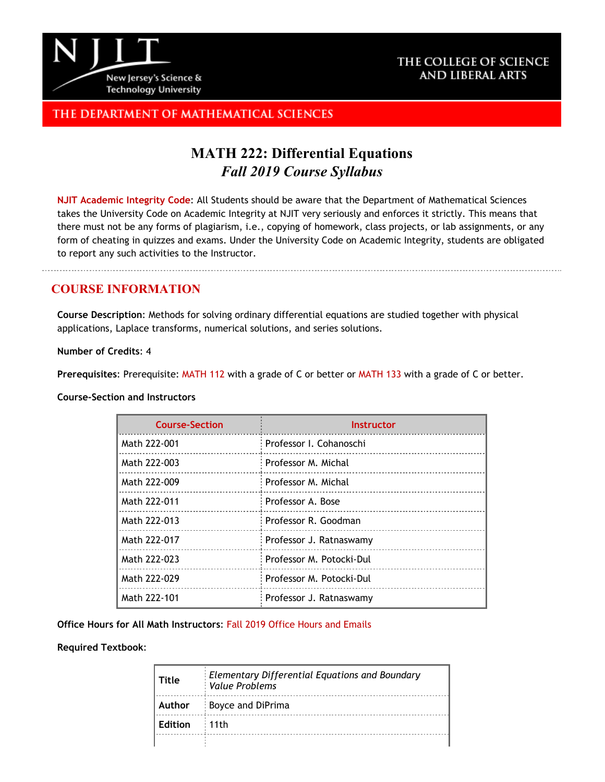

### THE COLLEGE OF SCIENCE AND LIBERAL ARTS

# THE DEPARTMENT OF MATHEMATICAL SCIENCES

# **MATH 222: Differential Equations** *Fall 2019 Course Syllabus*

**[NJIT Academic Integrity Code](http://www.njit.edu/policies/sites/policies/files/academic-integrity-code.pdf)**: All Students should be aware that the Department of Mathematical Sciences takes the University Code on Academic Integrity at NJIT very seriously and enforces it strictly. This means that there must not be any forms of plagiarism, i.e., copying of homework, class projects, or lab assignments, or any form of cheating in quizzes and exams. Under the University Code on Academic Integrity, students are obligated to report any such activities to the Instructor.

### **COURSE INFORMATION**

**Course Description**: Methods for solving ordinary differential equations are studied together with physical applications, Laplace transforms, numerical solutions, and series solutions.

**Number of Credits**: 4

**Prerequisites**: Prerequisite: [MATH](http://catalog.njit.edu/search/?P=MATH%20112) 112 with a grade of C or better or [MATH](http://catalog.njit.edu/search/?P=MATH%20133) 133 with a grade of C or better.

**Course-Section and Instructors**

| <b>Course-Section</b> | Instructor                |
|-----------------------|---------------------------|
| Math 222-001          | : Professor I. Cohanoschi |
| Math 222-003          | Professor M. Michal       |
| Math 222-009          | : Professor M. Michal     |
| Math 222-011          | : Professor A. Bose       |
| Math 222-013          | Professor R. Goodman      |
| Math 222-017          | : Professor J. Ratnaswamy |
| Math 222-023          | Professor M. Potocki-Dul  |
| Math 222-029          | Professor M. Potocki-Dul  |
| Math 222-101          | Professor J. Ratnaswamy   |

**Office Hours for All Math Instructors**: [Fall 2019 Office Hours and Emails](http://math.njit.edu/students/officehours.php)

**Required Textbook**:

| Title          | <b>Elementary Differential Equations and Boundary</b><br>Value Problems |
|----------------|-------------------------------------------------------------------------|
| Author         | Boyce and DiPrima                                                       |
| <b>Edition</b> | $\pm$ 11th                                                              |
|                |                                                                         |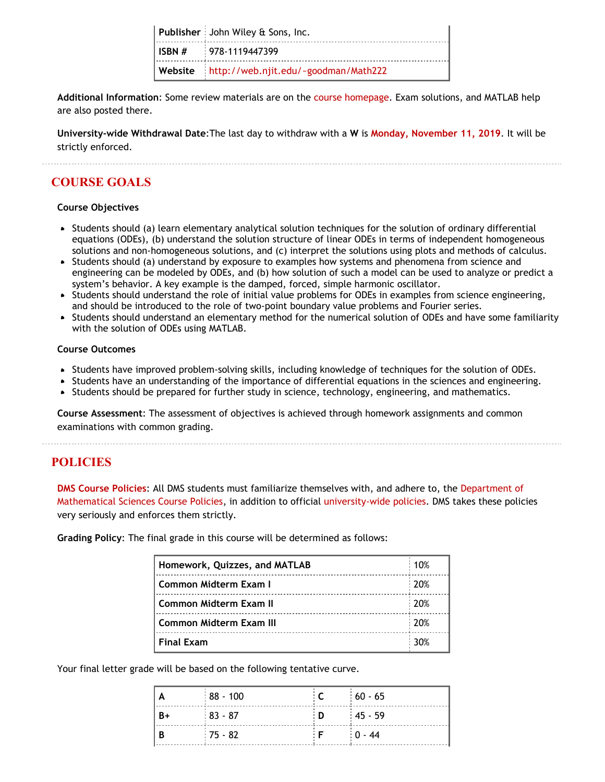| Publisher: John Wiley & Sons, Inc.           |
|----------------------------------------------|
| $\vert$ ISBN # $\vert$ 978-1119447399        |
| Website http://web.njit.edu/~goodman/Math222 |

**Additional Information**: Some review materials are on the [course homepage.](http://bit.ly/njitmath222) Exam solutions, and MATLAB help are also posted there.

**University-wide Withdrawal Date**:The last day to withdraw with a **W** is **[Monday, November 11, 2019](https://www.njit.edu/registrar/fall-2019-academic-calendar/)**. It will be strictly enforced.

# **COURSE GOALS**

#### **Course Objectives**

- Students should (a) learn elementary analytical solution techniques for the solution of ordinary differential equations (ODEs), (b) understand the solution structure of linear ODEs in terms of independent homogeneous solutions and non-homogeneous solutions, and (c) interpret the solutions using plots and methods of calculus.
- Students should (a) understand by exposure to examples how systems and phenomena from science and engineering can be modeled by ODEs, and (b) how solution of such a model can be used to analyze or predict a system's behavior. A key example is the damped, forced, simple harmonic oscillator.
- Students should understand the role of initial value problems for ODEs in examples from science engineering, and should be introduced to the role of two-point boundary value problems and Fourier series.
- Students should understand an elementary method for the numerical solution of ODEs and have some familiarity with the solution of ODEs using MATLAB.

#### **Course Outcomes**

- Students have improved problem-solving skills, including knowledge of techniques for the solution of ODEs.
- Students have an understanding of the importance of differential equations in the sciences and engineering.
- Students should be prepared for further study in science, technology, engineering, and mathematics.

**Course Assessment**: The assessment of objectives is achieved through homework assignments and common examinations with common grading.

### **POLICIES**

**[DMS Course Policies](http://math.njit.edu/students/undergraduate/policies_math.php)**: All DMS students must familiarize themselves with, and adhere to, the [Department of](http://math.njit.edu/students/undergraduate/policies_math.php) [Mathematical Sciences Course Policies](http://math.njit.edu/students/undergraduate/policies_math.php), in addition to official [university-wide policies](http://catalog.njit.edu/undergraduate/academic-policies-procedures/). DMS takes these policies very seriously and enforces them strictly.

**Grading Policy**: The final grade in this course will be determined as follows:

| Homework, Quizzes, and MATLAB          |  |  |
|----------------------------------------|--|--|
| 20%<br>Common Midterm Exam I           |  |  |
| 120%<br><b>Common Midterm Exam II</b>  |  |  |
| :20%<br><b>Common Midterm Exam III</b> |  |  |
| <b>Final Exam</b>                      |  |  |

Your final letter grade will be based on the following tentative curve.

|                | $\frac{1}{2}$ 88 - 100 | $\vdots$ C | $60 - 65$    |
|----------------|------------------------|------------|--------------|
| $B+$           | $\frac{1}{2}$ 83 - 87  | $\vdots$ D | $145 - 59$   |
| $\overline{B}$ | $175 - 82$             | i Fi       | $\pm 0 - 44$ |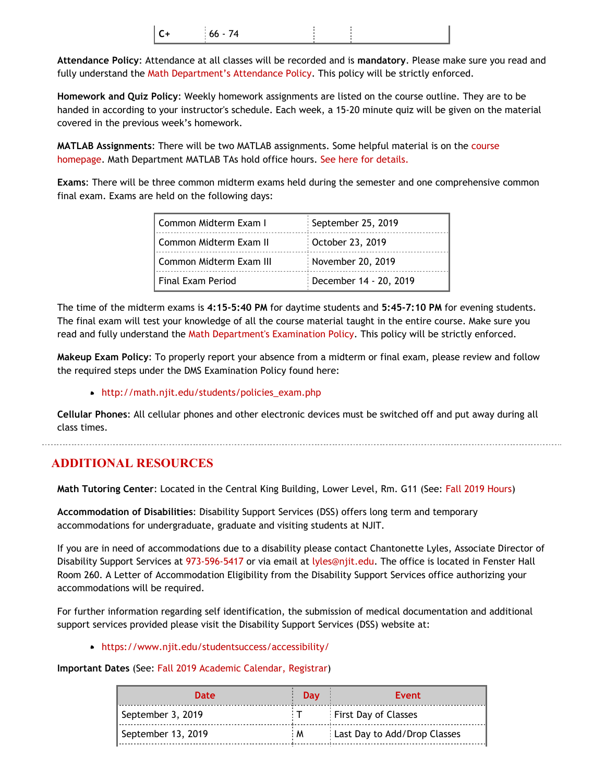| $\vert$ c<br>$\overline{ }$<br>$166 - 74$ |  |  |
|-------------------------------------------|--|--|
|-------------------------------------------|--|--|

**Attendance Policy**: Attendance at all classes will be recorded and is **mandatory**. Please make sure you read and fully understand the [Math Department's Attendance Policy.](http://math.njit.edu/students/policies_attendance.php) This policy will be strictly enforced.

**Homework and Quiz Policy**: Weekly homework assignments are listed on the course outline. They are to be handed in according to your instructor's schedule. Each week, a 15-20 minute quiz will be given on the material covered in the previous week's homework.

**MATLAB Assignments**: There will be two MATLAB assignments. Some helpful material is on the [course](http://web.njit.edu/~goodman/Math222) [homepage](http://web.njit.edu/~goodman/Math222). Math Department MATLAB TAs hold office hours. [See here for details.](http://math.njit.edu/students/undergraduate/matlab_ta_hours.php)

**Exams**: There will be three common midterm exams held during the semester and one comprehensive common final exam. Exams are held on the following days:

| l Common Midterm Exam I   | September 25, 2019     |  |
|---------------------------|------------------------|--|
| l Common Midterm Exam II  | October 23, 2019       |  |
| l Common Midterm Exam III | November 20, 2019      |  |
| l Final Exam Period       | December 14 - 20, 2019 |  |

The time of the midterm exams is **4:15-5:40 PM** for daytime students and **5:45-7:10 PM** for evening students. The final exam will test your knowledge of all the course material taught in the entire course. Make sure you read and fully understand the [Math Department's Examination Policy](http://math.njit.edu/students/policies_exam.php). This policy will be strictly enforced.

**Makeup Exam Policy**: To properly report your absence from a midterm or final exam, please review and follow the required steps under the DMS Examination Policy found here:

#### [http://math.njit.edu/students/policies\\_exam.php](http://math.njit.edu/students/policies_exam.php)

**Cellular Phones**: All cellular phones and other electronic devices must be switched off and put away during all class times.

## **ADDITIONAL RESOURCES**

**Math Tutoring Center**: Located in the Central King Building, Lower Level, Rm. G11 (See[: Fall 2019 Hours](http://math.njit.edu/students/undergraduate/tutoring_help.php))

**Accommodation of Disabilities**: Disability Support Services (DSS) offers long term and temporary accommodations for undergraduate, graduate and visiting students at NJIT.

If you are in need of accommodations due to a disability please contact Chantonette Lyles, Associate Director of Disability Support Services at [973-596-5417](tel:973-596-5417) or via email at [lyles@njit.edu](mailto:lyles@njit.edu). The office is located in Fenster Hall Room 260. A Letter of Accommodation Eligibility from the Disability Support Services office authorizing your accommodations will be required.

For further information regarding self identification, the submission of medical documentation and additional support services provided please visit the Disability Support Services (DSS) website at:

#### [https://www.njit.edu/studentsuccess/accessibility/](http://www5.njit.edu/studentsuccess/disability-support-services/)

#### **Important Dates** (See: [Fall 2019 Academic Calendar, Registrar](https://www.njit.edu/registrar/fall-2019-academic-calendar/))

| <b>Date</b>        | <b>Day</b> | Event                        |  |
|--------------------|------------|------------------------------|--|
| September 3, 2019  |            | <b>First Day of Classes</b>  |  |
| September 13, 2019 | ÷Μ         | Last Day to Add/Drop Classes |  |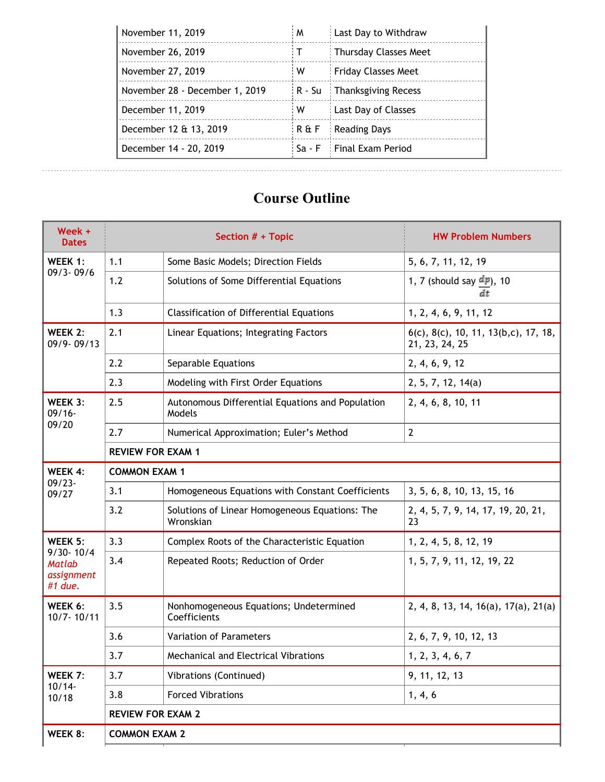| November 11, 2019              | M            | Last Day to Withdraw         |
|--------------------------------|--------------|------------------------------|
| November 26, 2019              | $\mathsf{T}$ | Thursday Classes Meet        |
| November 27, 2019              | w            | <b>Friday Classes Meet</b>   |
| November 28 - December 1, 2019 | :R - Su      | : Thanksgiving Recess        |
| December 11, 2019              | w            | Last Day of Classes          |
| December 12 & 13, 2019         | ∶R & F       | <b>Reading Days</b>          |
| December 14 - 20, 2019         |              | $Sa - F$ : Final Exam Period |

# **Course Outline**

| Week +<br><b>Dates</b>                 | Section # + Topic        |                                                             | <b>HW Problem Numbers</b>                                                   |  |
|----------------------------------------|--------------------------|-------------------------------------------------------------|-----------------------------------------------------------------------------|--|
| WEEK 1:                                | 1.1                      | Some Basic Models; Direction Fields                         | 5, 6, 7, 11, 12, 19                                                         |  |
| $09/3 - 09/6$                          | 1.2                      | Solutions of Some Differential Equations                    | 1, 7 (should say $\frac{d\mathbf{p}}{d\mathbf{p}}$ ), 10<br>dt              |  |
|                                        | 1.3                      | <b>Classification of Differential Equations</b>             | 1, 2, 4, 6, 9, 11, 12                                                       |  |
| WEEK 2:<br>$09/9 - 09/13$              | 2.1                      | Linear Equations; Integrating Factors                       | $6(c)$ , $8(c)$ , $10$ , $11$ , $13(b,c)$ , $17$ , $18$ ,<br>21, 23, 24, 25 |  |
|                                        | 2.2                      | Separable Equations                                         | 2, 4, 6, 9, 12                                                              |  |
|                                        | 2.3                      | Modeling with First Order Equations                         | 2, 5, 7, 12, 14(a)                                                          |  |
| WEEK 3:<br>$09/16 -$                   | 2.5                      | Autonomous Differential Equations and Population<br>Models  | 2, 4, 6, 8, 10, 11                                                          |  |
| 09/20                                  | 2.7                      | Numerical Approximation; Euler's Method                     | $\overline{2}$                                                              |  |
|                                        |                          |                                                             |                                                                             |  |
| WEEK 4:                                | <b>COMMON EXAM 1</b>     |                                                             |                                                                             |  |
| $09/23 -$<br>09/27                     | 3.1                      | Homogeneous Equations with Constant Coefficients            | 3, 5, 6, 8, 10, 13, 15, 16                                                  |  |
|                                        | 3.2                      | Solutions of Linear Homogeneous Equations: The<br>Wronskian | 2, 4, 5, 7, 9, 14, 17, 19, 20, 21,<br>23                                    |  |
| WEEK 5:<br>$9/30 - 10/4$               | 3.3                      | Complex Roots of the Characteristic Equation                | 1, 2, 4, 5, 8, 12, 19                                                       |  |
| <b>Matlab</b><br>assignment<br>#1 due. | 3.4                      | Repeated Roots; Reduction of Order                          | 1, 5, 7, 9, 11, 12, 19, 22                                                  |  |
| WEEK 6:<br>$10/7 - 10/11$              | 3.5                      | Nonhomogeneous Equations; Undetermined<br>Coefficients      | 2, 4, 8, 13, 14, 16(a), 17(a), 21(a)                                        |  |
|                                        | 3.6                      | <b>Variation of Parameters</b>                              | 2, 6, 7, 9, 10, 12, 13                                                      |  |
|                                        | 3.7                      | <b>Mechanical and Electrical Vibrations</b>                 | 1, 2, 3, 4, 6, 7                                                            |  |
| WEEK 7:                                | 3.7                      | Vibrations (Continued)                                      | 9, 11, 12, 13                                                               |  |
| $10/14 -$<br>10/18                     | 3.8                      | <b>Forced Vibrations</b>                                    | 1, 4, 6                                                                     |  |
|                                        | <b>REVIEW FOR EXAM 2</b> |                                                             |                                                                             |  |
| WEEK 8:                                | <b>COMMON EXAM 2</b>     |                                                             |                                                                             |  |